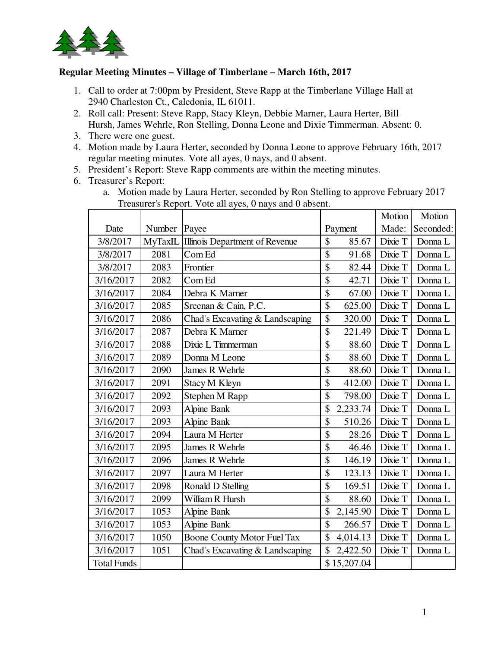

## **Regular Meeting Minutes – Village of Timberlane – March 16th, 2017**

- 1. Call to order at 7:00pm by President, Steve Rapp at the Timberlane Village Hall at 2940 Charleston Ct., Caledonia, IL 61011.
- 2. Roll call: Present: Steve Rapp, Stacy Kleyn, Debbie Marner, Laura Herter, Bill Hursh, James Wehrle, Ron Stelling, Donna Leone and Dixie Timmerman. Absent: 0.
- 3. There were one guest.
- 4. Motion made by Laura Herter, seconded by Donna Leone to approve February 16th, 2017 regular meeting minutes. Vote all ayes, 0 nays, and 0 absent.
- 5. President's Report: Steve Rapp comments are within the meeting minutes.
- 6. Treasurer's Report:
	- a. Motion made by Laura Herter, seconded by Ron Stelling to approve February 2017 Treasurer's Report. Vote all ayes, 0 nays and 0 absent.

|                    |                |                                 |               |             | Motion  | Motion    |
|--------------------|----------------|---------------------------------|---------------|-------------|---------|-----------|
| Date               | Number         | Payee                           |               | Payment     | Made:   | Seconded: |
| 3/8/2017           | <b>MyTaxIL</b> | Illinois Department of Revenue  | \$            | 85.67       | Dixie T | Donna L   |
| 3/8/2017           | 2081           | Com Ed                          | $\mathsf{\$}$ | 91.68       | Dixie T | Donna L   |
| 3/8/2017           | 2083           | Frontier                        | \$            | 82.44       | Dixie T | Donna L   |
| 3/16/2017          | 2082           | Com Ed                          | \$            | 42.71       | Dixie T | Donna L   |
| 3/16/2017          | 2084           | Debra K Marner                  | \$            | 67.00       | Dixie T | Donna L   |
| 3/16/2017          | 2085           | Sreenan & Cain, P.C.            | \$            | 625.00      | Dixie T | Donna L   |
| 3/16/2017          | 2086           | Chad's Excavating & Landscaping | \$            | 320.00      | Dixie T | Donna L   |
| 3/16/2017          | 2087           | Debra K Marner                  | \$            | 221.49      | Dixie T | Donna L   |
| 3/16/2017          | 2088           | Dixie L Timmerman               | $\mathsf{\$}$ | 88.60       | Dixie T | Donna L   |
| 3/16/2017          | 2089           | Donna M Leone                   | \$            | 88.60       | Dixie T | Donna L   |
| 3/16/2017          | 2090           | James R Wehrle                  | \$            | 88.60       | Dixie T | Donna L   |
| 3/16/2017          | 2091           | Stacy M Kleyn                   | \$            | 412.00      | Dixie T | Donna L   |
| 3/16/2017          | 2092           | Stephen M Rapp                  | \$            | 798.00      | Dixie T | Donna L   |
| 3/16/2017          | 2093           | Alpine Bank                     | \$            | 2,233.74    | Dixie T | Donna L   |
| 3/16/2017          | 2093           | Alpine Bank                     | \$            | 510.26      | Dixie T | Donna L   |
| 3/16/2017          | 2094           | Laura M Herter                  | \$            | 28.26       | Dixie T | Donna L   |
| 3/16/2017          | 2095           | James R Wehrle                  | \$            | 46.46       | Dixie T | Donna L   |
| 3/16/2017          | 2096           | James R Wehrle                  | \$            | 146.19      | Dixie T | Donna L   |
| 3/16/2017          | 2097           | Laura M Herter                  | \$            | 123.13      | Dixie T | Donna L   |
| 3/16/2017          | 2098           | Ronald D Stelling               | $\mathcal{S}$ | 169.51      | Dixie T | Donna L   |
| 3/16/2017          | 2099           | William R Hursh                 | \$            | 88.60       | Dixie T | Donna L   |
| 3/16/2017          | 1053           | Alpine Bank                     | \$            | 2,145.90    | Dixie T | Donna L   |
| 3/16/2017          | 1053           | Alpine Bank                     | $\mathcal{S}$ | 266.57      | Dixie T | Donna L   |
| 3/16/2017          | 1050           | Boone County Motor Fuel Tax     | \$            | 4,014.13    | Dixie T | Donna L   |
| 3/16/2017          | 1051           | Chad's Excavating & Landscaping | \$            | 2,422.50    | Dixie T | Donna L   |
| <b>Total Funds</b> |                |                                 |               | \$15,207.04 |         |           |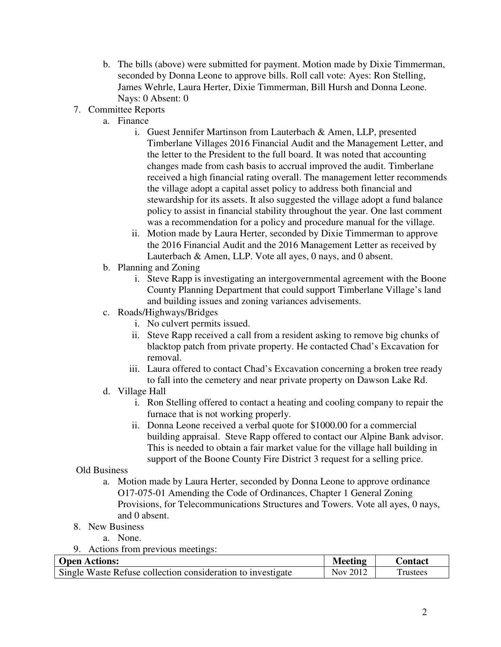- b. The bills (above) were submitted for payment. Motion made by Dixie Timmerman, seconded by Donna Leone to approve bills. Roll call vote: Ayes: Ron Stelling, James Wehrle, Laura Herter, Dixie Timmerman, Bill Hursh and Donna Leone. Nays: 0 Absent: 0
- 7. Committee Reports
	- a. Finance
		- i. Guest Jennifer Martinson from Lauterbach & Amen, LLP, presented Timberlane Villages 2016 Financial Audit and the Management Letter, and the letter to the President to the full board. It was noted that accounting changes made from cash basis to accrual improved the audit. Timberlane received a high financial rating overall. The management letter recommends the village adopt a capital asset policy to address both financial and stewardship for its assets. It also suggested the village adopt a fund balance policy to assist in financial stability throughout the year. One last comment was a recommendation for a policy and procedure manual for the village.
		- ii. Motion made by Laura Herter, seconded by Dixie Timmerman to approve the 2016 Financial Audit and the 2016 Management Letter as received by Lauterbach & Amen, LLP. Vote all ayes, 0 nays, and 0 absent.
	- b. Planning and Zoning
		- i. Steve Rapp is investigating an intergovernmental agreement with the Boone County Planning Department that could support Timberlane Village's land and building issues and zoning variances advisements.
	- c. Roads/Highways/Bridges
		- i. No culvert permits issued.
		- ii. Steve Rapp received a call from a resident asking to remove big chunks of blacktop patch from private property. He contacted Chad's Excavation for removal.
		- iii. Laura offered to contact Chad's Excavation concerning a broken tree ready to fall into the cemetery and near private property on Dawson Lake Rd.
	- d. Village Hall
		- i. Ron Stelling offered to contact a heating and cooling company to repair the furnace that is not working properly.
		- ii. Donna Leone received a verbal quote for \$1000.00 for a commercial building appraisal. Steve Rapp offered to contact our Alpine Bank advisor. This is needed to obtain a fair market value for the village hall building in support of the Boone County Fire District 3 request for a selling price.

## Old Business

- a. Motion made by Laura Herter, seconded by Donna Leone to approve ordinance O17-075-01 Amending the Code of Ordinances, Chapter 1 General Zoning Provisions, for Telecommunications Structures and Towers. Vote all ayes, 0 nays, and 0 absent.
- 8. New Business
	- a. None.
- 9. Actions from previous meetings:

| <b>Open Actions:</b>                                        | <b>Meeting</b> | <b>Contact</b> |
|-------------------------------------------------------------|----------------|----------------|
| Single Waste Refuse collection consideration to investigate | Nov 2012       | 'rustees       |